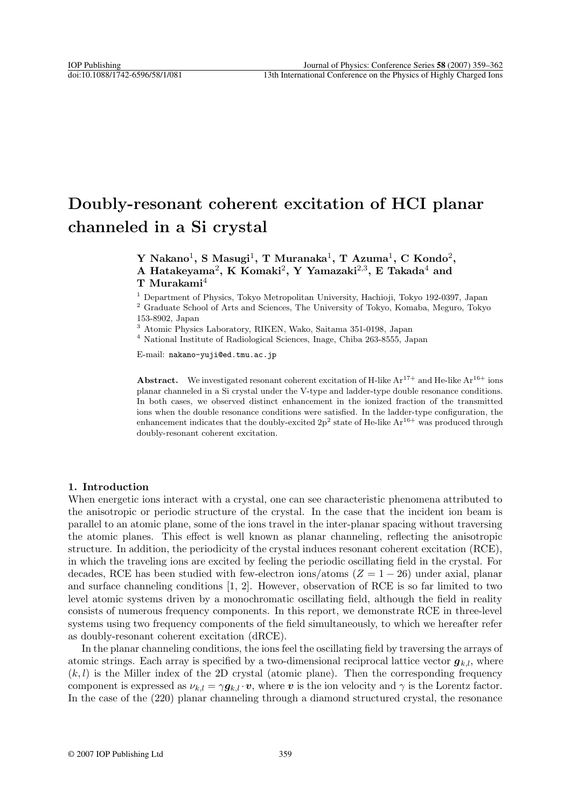# **Doubly-resonant coherent excitation of HCI planar channeled in a Si crystal**

# **Y Nakano**1**, S Masugi**1**, T Muranaka**1**, T Azuma**1**, C Kondo**2**, A Hatakeyama**2**, K Komaki**2**, Y Yamazaki**2,3**, E Takada**<sup>4</sup> **and T Murakami**<sup>4</sup>

<sup>1</sup> Department of Physics, Tokyo Metropolitan University, Hachioji, Tokyo 192-0397, Japan <sup>2</sup> Graduate School of Arts and Sciences, The University of Tokyo, Komaba, Meguro, Tokyo 153-8902, Japan

<sup>3</sup> Atomic Physics Laboratory, RIKEN, Wako, Saitama 351-0198, Japan

<sup>4</sup> National Institute of Radiological Sciences, Inage, Chiba 263-8555, Japan

E-mail: nakano-yuji@ed.tmu.ac.jp

**Abstract.** We investigated resonant coherent excitation of H-like  $Ar^{17+}$  and He-like  $Ar^{16+}$  ions planar channeled in a Si crystal under the V-type and ladder-type double resonance conditions. In both cases, we observed distinct enhancement in the ionized fraction of the transmitted ions when the double resonance conditions were satisfied. In the ladder-type configuration, the enhancement indicates that the doubly-excited  $2p^2$  state of He-like  $Ar^{16+}$  was produced through doubly-resonant coherent excitation.

# **1. Introduction**

When energetic ions interact with a crystal, one can see characteristic phenomena attributed to the anisotropic or periodic structure of the crystal. In the case that the incident ion beam is parallel to an atomic plane, some of the ions travel in the inter-planar spacing without traversing the atomic planes. This effect is well known as planar channeling, reflecting the anisotropic structure. In addition, the periodicity of the crystal induces resonant coherent excitation (RCE), in which the traveling ions are excited by feeling the periodic oscillating field in the crystal. For decades, RCE has been studied with few-electron ions/atoms  $(Z = 1 - 26)$  under axial, planar and surface channeling conditions [1, 2]. However, observation of RCE is so far limited to two level atomic systems driven by a monochromatic oscillating field, although the field in reality consists of numerous frequency components. In this report, we demonstrate RCE in three-level systems using two frequency components of the field simultaneously, to which we hereafter refer as doubly-resonant coherent excitation (dRCE).

In the planar channeling conditions, the ions feel the oscillating field by traversing the arrays of atomic strings. Each array is specified by a two-dimensional reciprocal lattice vector  $g_{k,l}$ , where  $(k, l)$  is the Miller index of the 2D crystal (atomic plane). Then the corresponding frequency component is expressed as  $\nu_{k,l} = \gamma g_{k,l} \cdot \boldsymbol{v}$ , where  $\boldsymbol{v}$  is the ion velocity and  $\gamma$  is the Lorentz factor. In the case of the (220) planar channeling through a diamond structured crystal, the resonance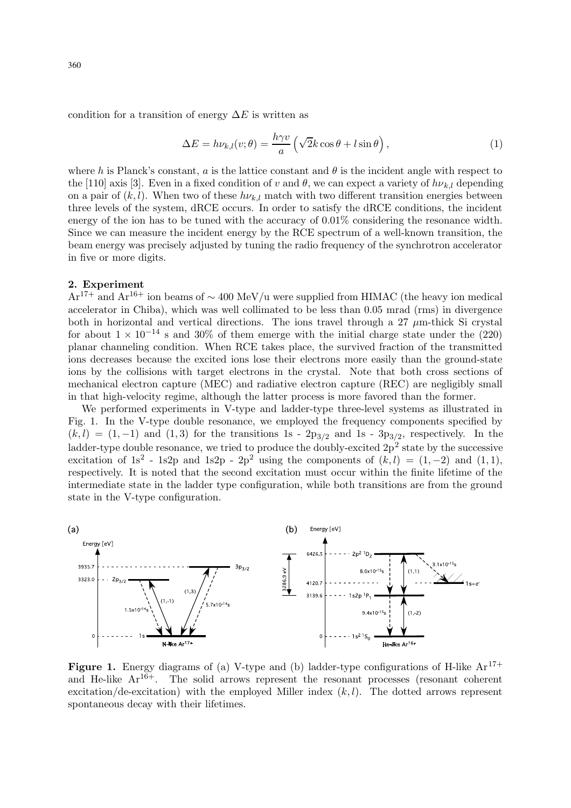condition for a transition of energy  $\Delta E$  is written as

$$
\Delta E = h\nu_{k,l}(v;\theta) = \frac{h\gamma v}{a} \left( \sqrt{2}k\cos\theta + l\sin\theta \right),\tag{1}
$$

where h is Planck's constant, a is the lattice constant and  $\theta$  is the incident angle with respect to the [110] axis [3]. Even in a fixed condition of v and  $\theta$ , we can expect a variety of  $h\nu_{k,l}$  depending on a pair of  $(k, l)$ . When two of these  $h\nu_{k,l}$  match with two different transition energies between three levels of the system, dRCE occurs. In order to satisfy the dRCE conditions, the incident energy of the ion has to be tuned with the accuracy of 0.01% considering the resonance width. Since we can measure the incident energy by the RCE spectrum of a well-known transition, the beam energy was precisely adjusted by tuning the radio frequency of the synchrotron accelerator in five or more digits.

#### **2. Experiment**

 $Ar^{17+}$  and  $Ar^{16+}$  ion beams of ~ 400 MeV/u were supplied from HIMAC (the heavy ion medical accelerator in Chiba), which was well collimated to be less than 0.05 mrad (rms) in divergence both in horizontal and vertical directions. The ions travel through a 27  $\mu$ m-thick Si crystal for about  $1 \times 10^{-14}$  s and 30% of them emerge with the initial charge state under the (220) planar channeling condition. When RCE takes place, the survived fraction of the transmitted ions decreases because the excited ions lose their electrons more easily than the ground-state ions by the collisions with target electrons in the crystal. Note that both cross sections of mechanical electron capture (MEC) and radiative electron capture (REC) are negligibly small in that high-velocity regime, although the latter process is more favored than the former.

We performed experiments in V-type and ladder-type three-level systems as illustrated in Fig. 1. In the V-type double resonance, we employed the frequency components specified by  $(k, l) = (1, -1)$  and  $(1, 3)$  for the transitions 1s - 2p<sub>3/2</sub> and 1s - 3p<sub>3/2</sub>, respectively. In the ladder-type double resonance, we tried to produce the doubly-excited  $2p^2$  state by the successive excitation of 1s<sup>2</sup> - 1s2p and 1s2p - 2p<sup>2</sup> using the components of  $(k, l) = (1, -2)$  and  $(1, 1)$ , respectively. It is noted that the second excitation must occur within the finite lifetime of the intermediate state in the ladder type configuration, while both transitions are from the ground state in the V-type configuration.



**Figure 1.** Energy diagrams of (a) V-type and (b) ladder-type configurations of H-like  $Ar^{17+}$ and He-like  $Ar^{16+}$ . The solid arrows represent the resonant processes (resonant coherent excitation/de-excitation) with the employed Miller index  $(k, l)$ . The dotted arrows represent spontaneous decay with their lifetimes.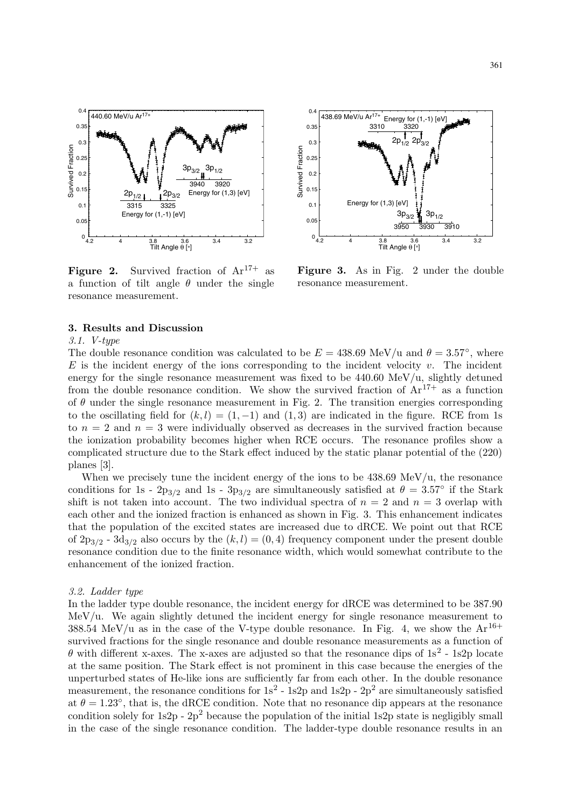

**Figure 2.** Survived fraction of  $Ar^{17+}$  as a function of tilt angle  $\theta$  under the single resonance measurement.



**Figure 3.** As in Fig. 2 under the double resonance measurement.

#### **3. Results and Discussion**

## 3.1. V-type

The double resonance condition was calculated to be  $E = 438.69 \text{ MeV}/\text{u}$  and  $\theta = 3.57^{\circ}$ , where  $E$  is the incident energy of the ions corresponding to the incident velocity v. The incident energy for the single resonance measurement was fixed to be  $440.60 \text{ MeV}/u$ , slightly detuned from the double resonance condition. We show the survived fraction of  $Ar^{17+}$  as a function of  $\theta$  under the single resonance measurement in Fig. 2. The transition energies corresponding to the oscillating field for  $(k,l) = (1,-1)$  and  $(1,3)$  are indicated in the figure. RCE from 1s to  $n = 2$  and  $n = 3$  were individually observed as decreases in the survived fraction because the ionization probability becomes higher when RCE occurs. The resonance profiles show a complicated structure due to the Stark effect induced by the static planar potential of the (220) planes [3].

When we precisely tune the incident energy of the ions to be  $438.69 \text{ MeV}/\text{u}$ , the resonance conditions for 1s -  $2p_{3/2}$  and 1s -  $3p_{3/2}$  are simultaneously satisfied at  $\theta = 3.57^{\circ}$  if the Stark shift is not taken into account. The two individual spectra of  $n = 2$  and  $n = 3$  overlap with each other and the ionized fraction is enhanced as shown in Fig. 3. This enhancement indicates that the population of the excited states are increased due to dRCE. We point out that RCE of  $2p_{3/2}$  -  $3d_{3/2}$  also occurs by the  $(k, l) = (0, 4)$  frequency component under the present double resonance condition due to the finite resonance width, which would somewhat contribute to the enhancement of the ionized fraction.

#### 3.2. Ladder type

In the ladder type double resonance, the incident energy for dRCE was determined to be 387.90 MeV/u. We again slightly detuned the incident energy for single resonance measurement to 388.54 MeV/u as in the case of the V-type double resonance. In Fig. 4, we show the  $Ar^{16+}$ survived fractions for the single resonance and double resonance measurements as a function of  $\theta$  with different x-axes. The x-axes are adjusted so that the resonance dips of  $1s^2$  - 1s2p locate at the same position. The Stark effect is not prominent in this case because the energies of the unperturbed states of He-like ions are sufficiently far from each other. In the double resonance measurement, the resonance conditions for  $1s^2$  - 1s2p and 1s2p -  $2p^2$  are simultaneously satisfied at  $\theta = 1.23^{\circ}$ , that is, the dRCE condition. Note that no resonance dip appears at the resonance condition solely for  $1s2p - 2p^2$  because the population of the initial 1s2p state is negligibly small in the case of the single resonance condition. The ladder-type double resonance results in an